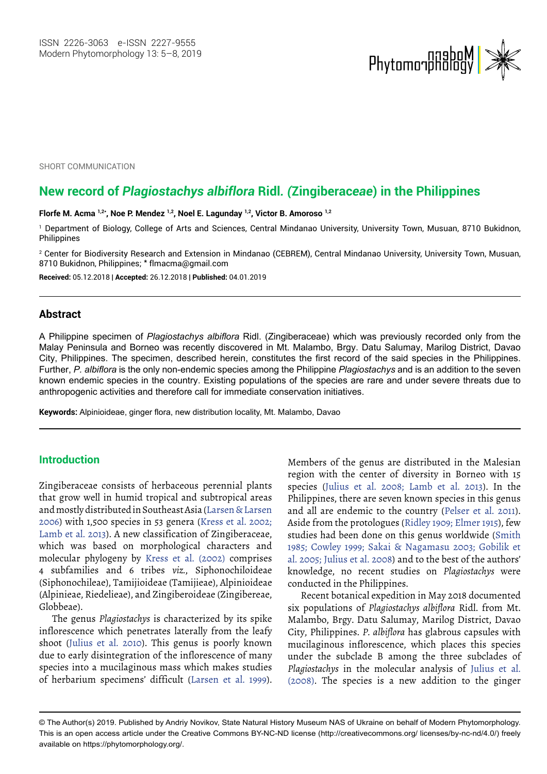

SHORT COMMUNICATION

# **New record of** *Plagiostachys albiflora* **Ridl***. (***Zingiberac***eae***) in the Philippines**

#### **Florfe M. Acma 1,2\*, Noe P. Mendez 1,2, Noel E. Lagunday 1,2, Victor B. Amoroso 1,2**

1 Department of Biology, College of Arts and Sciences, Central Mindanao University, University Town, Musuan, 8710 Bukidnon, Philippines

2 Center for Biodiversity Research and Extension in Mindanao (CEBREM), Central Mindanao University, University Town, Musuan, 8710 Bukidnon, Philippines; \* flmacma@gmail.com

**Received:** 05.12.2018 | **Accepted:** 26.12.2018 | **Published:** 04.01.2019

#### **Abstract**

A Philippine specimen of *Plagiostachys albiflora* Ridl. (Zingiberaceae) which was previously recorded only from the Malay Peninsula and Borneo was recently discovered in Mt. Malambo, Brgy. Datu Salumay, Marilog District, Davao City, Philippines. The specimen, described herein, constitutes the first record of the said species in the Philippines. Further, *P. albiflora* is the only non-endemic species among the Philippine *Plagiostachys* and is an addition to the seven known endemic species in the country. Existing populations of the species are rare and under severe threats due to anthropogenic activities and therefore call for immediate conservation initiatives.

**Keywords:** Alpinioideae, ginger flora, new distribution locality, Mt. Malambo, Davao

# **Introduction**

Zingiberaceae consists of herbaceous perennial plants that grow well in humid tropical and subtropical areas and mostly distributed in Southeast Asia (Larsen & Larsen 2006) with 1,500 species in 53 genera (Kress et al. 2002; Lamb et al. 2013). A new classification of Zingiberaceae, which was based on morphological characters and molecular phylogeny by Kress et al. (2002) comprises 4 subfamilies and 6 tribes *viz.*, Siphonochiloideae (Siphonochileae), Tamijioideae (Tamijieae), Alpinioideae (Alpinieae, Riedelieae), and Zingiberoideae (Zingibereae, Globbeae).

The genus *Plagiostachys* is characterized by its spike inflorescence which penetrates laterally from the leafy shoot (Julius et al. 2010). This genus is poorly known due to early disintegration of the inflorescence of many species into a mucilaginous mass which makes studies of herbarium specimens' difficult (Larsen et al. 1999).

Members of the genus are distributed in the Malesian region with the center of diversity in Borneo with 15 species (Julius et al. 2008; Lamb et al. 2013). In the Philippines, there are seven known species in this genus and all are endemic to the country (Pelser et al. 2011). Aside from the protologues (Ridley 1909; Elmer 1915), few studies had been done on this genus worldwide (Smith 1985; Cowley 1999; Sakai & Nagamasu 2003; Gobilik et al. 2005; Julius et al. 2008) and to the best of the authors' knowledge, no recent studies on *Plagiostachys* were conducted in the Philippines.

Recent botanical expedition in May 2018 documented six populations of *Plagiostachys albiflora* Ridl. from Mt. Malambo, Brgy. Datu Salumay, Marilog District, Davao City, Philippines. *P. albiflora* has glabrous capsules with mucilaginous inflorescence, which places this species under the subclade B among the three subclades of *Plagiostachys* in the molecular analysis of Julius et al. (2008). The species is a new addition to the ginger

<sup>©</sup> The Author(s) 2019. Published by Andriy Novikov, State Natural History Museum NAS of Ukraine on behalf of Modern Phytomorphology. This is an open access article under the Creative Commons BY-NC-ND license (http://creativecommons.org/ licenses/by-nc-nd/4.0/) freely available on https://phytomorphology.org/.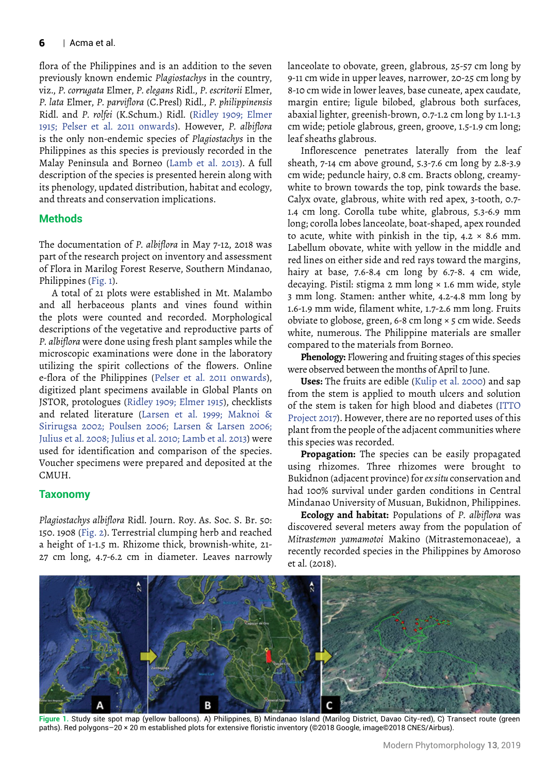#### $6$  | Acma et al.

flora of the Philippines and is an addition to the seven previously known endemic *Plagiostachys* in the country, viz., *P. corrugata* Elmer, *P. elegans* Ridl., *P. escritorii* Elmer, *P. lata* Elmer, *P. parviflora* (C.Presl) Ridl., *P. philippinensis* Ridl. and *P. rolfei* (K.Schum.) Ridl. (Ridley 1909; Elmer 1915; Pelser et al. 2011 onwards). However, *P. albiflora* is the only non-endemic species of *Plagiostachys* in the Philippines as this species is previously recorded in the Malay Peninsula and Borneo (Lamb et al. 2013). A full description of the species is presented herein along with its phenology, updated distribution, habitat and ecology, and threats and conservation implications.

## **Methods**

The documentation of *P. albiflora* in May 7-12, 2018 was part of the research project on inventory and assessment of Flora in Marilog Forest Reserve, Southern Mindanao, Philippines (Fig. 1).

A total of 21 plots were established in Mt. Malambo and all herbaceous plants and vines found within the plots were counted and recorded. Morphological descriptions of the vegetative and reproductive parts of *P. albiflora* were done using fresh plant samples while the microscopic examinations were done in the laboratory utilizing the spirit collections of the flowers. Online e-flora of the Philippines (Pelser et al. 2011 onwards), digitized plant specimens available in Global Plants on JSTOR, protologues (Ridley 1909; Elmer 1915), checklists and related literature (Larsen et al. 1999; Maknoi & Sirirugsa 2002; Poulsen 2006; Larsen & Larsen 2006; Julius et al. 2008; Julius et al. 2010; Lamb et al. 2013) were used for identification and comparison of the species. Voucher specimens were prepared and deposited at the CMUH.

### **Taxonomy**

*Plagiostachys albiflora* Ridl. Journ. Roy. As. Soc. S. Br. 50: 150. 1908 (Fig. 2). Terrestrial clumping herb and reached a height of 1-1.5 m. Rhizome thick, brownish-white, 21- 27 cm long, 4.7-6.2 cm in diameter. Leaves narrowly lanceolate to obovate, green, glabrous, 25-57 cm long by 9-11 cm wide in upper leaves, narrower, 20-25 cm long by 8-10 cm wide in lower leaves, base cuneate, apex caudate, margin entire; ligule bilobed, glabrous both surfaces, abaxial lighter, greenish-brown, 0.7-1.2 cm long by 1.1-1.3 cm wide; petiole glabrous, green, groove, 1.5-1.9 cm long; leaf sheaths glabrous.

Inflorescence penetrates laterally from the leaf sheath, 7-14 cm above ground, 5.3-7.6 cm long by 2.8-3.9 cm wide; peduncle hairy, 0.8 cm. Bracts oblong, creamywhite to brown towards the top, pink towards the base. Calyx ovate, glabrous, white with red apex, 3-tooth, 0.7- 1.4 cm long. Corolla tube white, glabrous, 5.3-6.9 mm long; corolla lobes lanceolate, boat-shaped, apex rounded to acute, white with pinkish in the tip,  $4.2 \times 8.6$  mm. Labellum obovate, white with yellow in the middle and red lines on either side and red rays toward the margins, hairy at base, 7.6-8.4 cm long by 6.7-8. 4 cm wide, decaying. Pistil: stigma 2 mm long × 1.6 mm wide, style 3 mm long. Stamen: anther white, 4.2-4.8 mm long by 1.6-1.9 mm wide, filament white, 1.7-2.6 mm long. Fruits obviate to globose, green, 6-8 cm long × 5 cm wide. Seeds white, numerous. The Philippine materials are smaller compared to the materials from Borneo.

**Phenology:** Flowering and fruiting stages of this species were observed between the months of April to June.

**Uses:** The fruits are edible (Kulip et al. 2000) and sap from the stem is applied to mouth ulcers and solution of the stem is taken for high blood and diabetes (ITTO Project 2017). However, there are no reported uses of this plant from the people of the adjacent communities where this species was recorded.

**Propagation:** The species can be easily propagated using rhizomes. Three rhizomes were brought to Bukidnon (adjacent province) for *ex situ* conservation and had 100% survival under garden conditions in Central Mindanao University of Musuan, Bukidnon, Philippines.

**Ecology and habitat:** Populations of *P. albiflora* was discovered several meters away from the population of *Mitrastemon yamamotoi* Makino (Mitrastemonaceae), a recently recorded species in the Philippines by Amoroso et al. (2018).



**Figure 1.** Study site spot map (yellow balloons). A) Philippines, B) Mindanao Island (Marilog District, Davao City-red), C) Transect route (green paths). Red polygons–20 × 20 m established plots for extensive floristic inventory (©2018 Google, image©2018 CNES/Airbus).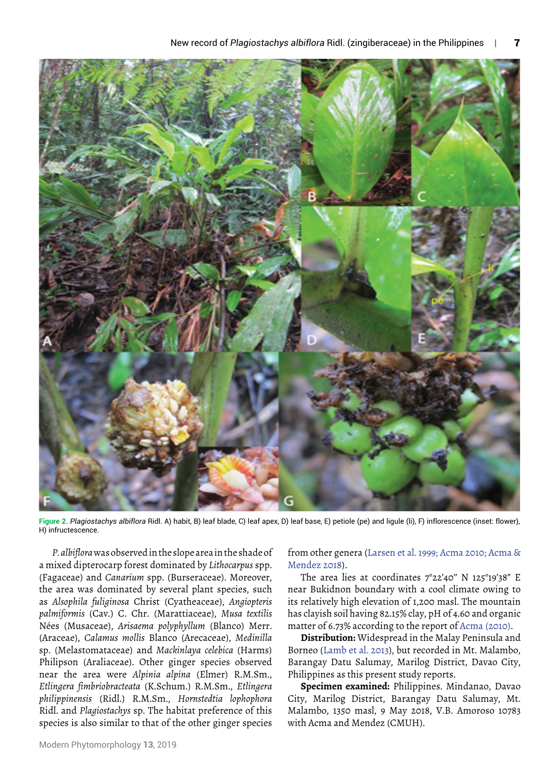

**Figure 2.** *Plagiostachys albiflora* Ridl. A) habit, B) leaf blade, C) leaf apex, D) leaf base, E) petiole (pe) and ligule (li), F) inflorescence (inset: flower), H) infructescence.

*P. albiflora* was observed in the slope area in the shade of a mixed dipterocarp forest dominated by *Lithocarpus* spp. (Fagaceae) and *Canarium* spp. (Burseraceae). Moreover, the area was dominated by several plant species, such as *Alsophila fuliginosa* Christ (Cyatheaceae), *Angiopteris palmiformis* (Cav.) C. Chr. (Marattiaceae), *Musa textilis* Nées (Musaceae), *Arisaema polyphyllum* (Blanco) Merr. (Araceae), *Calamus mollis* Blanco (Arecaceae), *Medinilla* sp. (Melastomataceae) and *Mackinlaya celebica* (Harms) Philipson (Araliaceae). Other ginger species observed near the area were *Alpinia alpina* (Elmer) R.M.Sm., *Etlingera fimbriobracteata* (K.Schum.) R.M.Sm., *Etlingera philippinensis* (Ridl.) R.M.Sm., *Hornstedtia lophophora* Ridl. and *Plagiostachys* sp. The habitat preference of this species is also similar to that of the other ginger species

from other genera (Larsen et al. 1999; Acma 2010; Acma & Mendez 2018).

The area lies at coordinates  $7^{\circ}22'40''$  N 125°19'38" E near Bukidnon boundary with a cool climate owing to its relatively high elevation of 1,200 masl. The mountain has clayish soil having 82.15% clay, pH of 4.60 and organic matter of 6.73% according to the report of Acma (2010).

**Distribution:** Widespread in the Malay Peninsula and Borneo (Lamb et al. 2013), but recorded in Mt. Malambo, Barangay Datu Salumay, Marilog District, Davao City, Philippines as this present study reports.

**Specimen examined:** Philippines. Mindanao, Davao City, Marilog District, Barangay Datu Salumay, Mt. Malambo, 1350 masl, 9 May 2018, V.B. Amoroso 10783 with Acma and Mendez (CMUH).